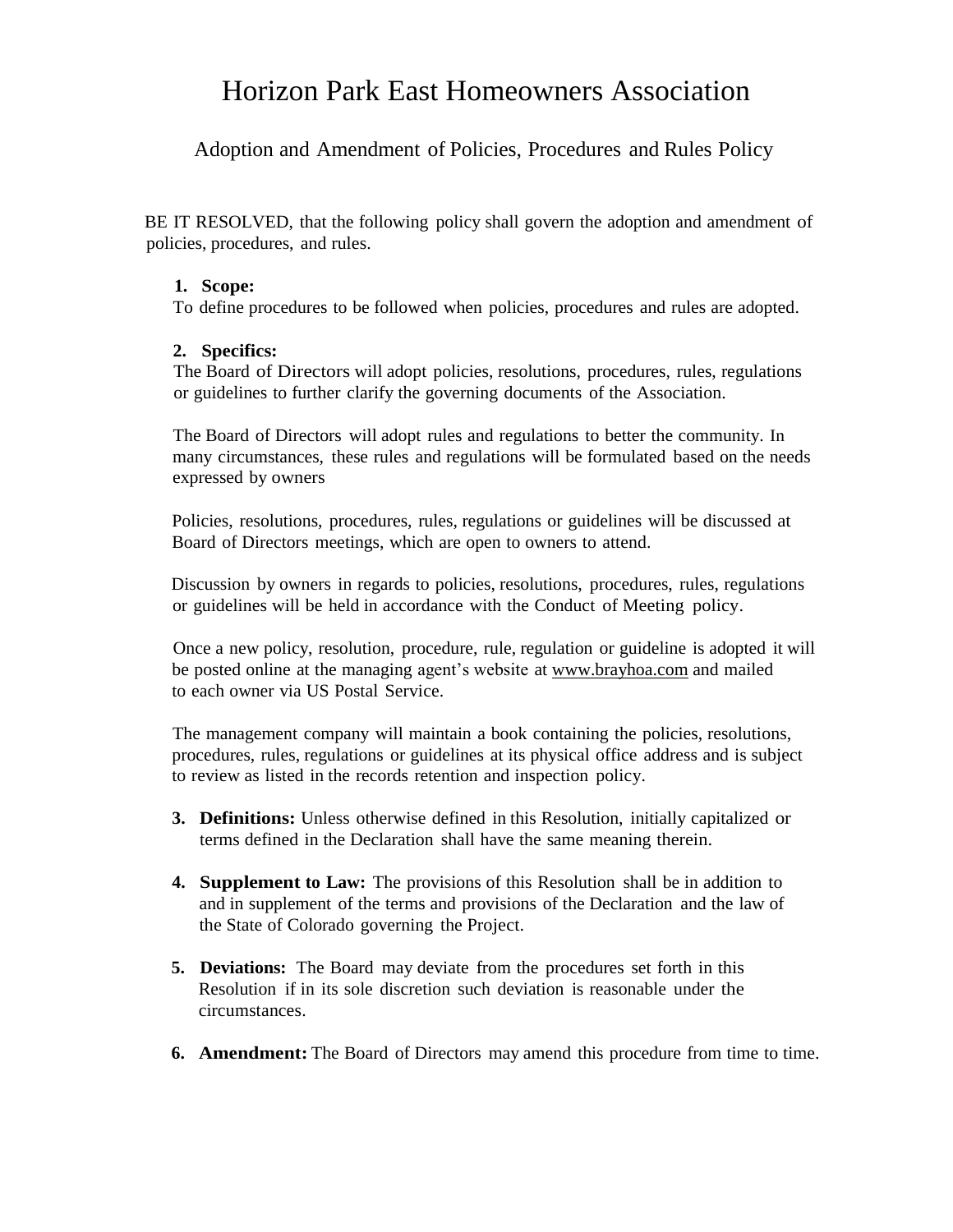## Horizon Park East Homeowners Association

Adoption and Amendment of Policies, Procedures and Rules Policy

BE IT RESOLVED, that the following policy shall govern the adoption and amendment of policies, procedures, and rules.

## **1. Scope:**

To define procedures to be followed when policies, procedures and rules are adopted.

## **2. Specifics:**

The Board of Directors will adopt policies, resolutions, procedures, rules, regulations or guidelines to further clarify the governing documents of the Association.

The Board of Directors will adopt rules and regulations to better the community. In many circumstances, these rules and regulations will be formulated based on the needs expressed by owners

Policies, resolutions, procedures, rules, regulations or guidelines will be discussed at Board of Directors meetings, which are open to owners to attend.

Discussion by owners in regards to policies, resolutions, procedures, rules, regulations or guidelines will be held in accordance with the Conduct of Meeting policy.

Once a new policy, resolution, procedure, rule, regulation or guideline is adopted it will be posted online at the managing agent's website at www.brayhoa.com and mailed to each owner via US Postal Service.

The management company will maintain a book containing the policies, resolutions, procedures, rules, regulations or guidelines at its physical office address and is subject to review as listed in the records retention and inspection policy.

- **3. Definitions:** Unless otherwise defined in this Resolution, initially capitalized or terms defined in the Declaration shall have the same meaning therein.
- **4. Supplement to Law:** The provisions of this Resolution shall be in addition to and in supplement of the terms and provisions of the Declaration and the law of the State of Colorado governing the Project.
- **5. Deviations:** The Board may deviate from the procedures set forth in this Resolution if in its sole discretion such deviation is reasonable under the circumstances.
- **6. Amendment:** The Board of Directors may amend this procedure from time to time.